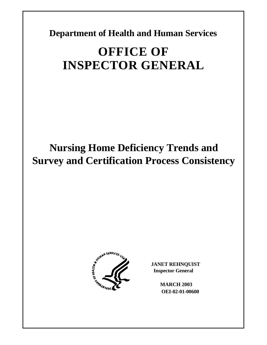**Department of Health and Human Services** 

# **OFFICE OF INSPECTOR GENERAL**

# **Nursing Home Deficiency Trends and Survey and Certification Process Consistency**



**JANET REHNQUIST Inspector General** 

> **MARCH 2003 OEI-02-01-00600**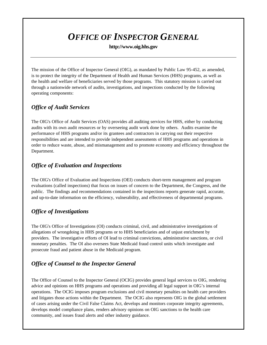# *OFFICE OF INSPECTOR GENERAL*

### **http://www.oig.hhs.gov**

The mission of the Office of Inspector General (OIG), as mandated by Public Law 95-452, as amended, is to protect the integrity of the Department of Health and Human Services (HHS) programs, as well as the health and welfare of beneficiaries served by those programs. This statutory mission is carried out through a nationwide network of audits, investigations, and inspections conducted by the following operating components:

## *Office of Audit Services*

The OIG's Office of Audit Services (OAS) provides all auditing services for HHS, either by conducting audits with its own audit resources or by overseeing audit work done by others. Audits examine the performance of HHS programs and/or its grantees and contractors in carrying out their respective responsibilities and are intended to provide independent assessments of HHS programs and operations in order to reduce waste, abuse, and mismanagement and to promote economy and efficiency throughout the Department.

## *Office of Evaluation and Inspections*

The OIG's Office of Evaluation and Inspections (OEI) conducts short-term management and program evaluations (called inspections) that focus on issues of concern to the Department, the Congress, and the public. The findings and recommendations contained in the inspections reports generate rapid, accurate, and up-to-date information on the efficiency, vulnerability, and effectiveness of departmental programs.

## *Office of Investigations*

The OIG's Office of Investigations (OI) conducts criminal, civil, and administrative investigations of allegations of wrongdoing in HHS programs or to HHS beneficiaries and of unjust enrichment by providers. The investigative efforts of OI lead to criminal convictions, administrative sanctions, or civil monetary penalties. The OI also oversees State Medicaid fraud control units which investigate and prosecute fraud and patient abuse in the Medicaid program.

## *Office of Counsel to the Inspector General*

The Office of Counsel to the Inspector General (OCIG) provides general legal services to OIG, rendering advice and opinions on HHS programs and operations and providing all legal support in OIG's internal operations. The OCIG imposes program exclusions and civil monetary penalties on health care providers and litigates those actions within the Department. The OCIG also represents OIG in the global settlement of cases arising under the Civil False Claims Act, develops and monitors corporate integrity agreements, develops model compliance plans, renders advisory opinions on OIG sanctions to the health care community, and issues fraud alerts and other industry guidance.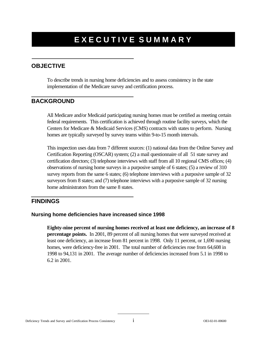# **EXECUTIVE SUMMARY**

## **OBJECTIVE**

To describe trends in nursing home deficiencies and to assess consistency in the state implementation of the Medicare survey and certification process.

## **BACKGROUND**

All Medicare and/or Medicaid participating nursing homes must be certified as meeting certain federal requirements. This certification is achieved through routine facility surveys, which the Centers for Medicare & Medicaid Services (CMS) contracts with states to perform. Nursing homes are typically surveyed by survey teams within 9-to-15 month intervals.

This inspection uses data from 7 different sources: (1) national data from the Online Survey and Certification Reporting (OSCAR) system; (2) a mail questionnaire of all 51 state survey and certification directors; (3) telephone interviews with staff from all 10 regional CMS offices; (4) observations of nursing home surveys in a purposive sample of 6 states; (5) a review of 310 survey reports from the same 6 states; (6) telephone interviews with a purposive sample of 32 surveyors from 8 states; and (7) telephone interviews with a purposive sample of 32 nursing home administrators from the same 8 states.

### **FINDINGS**

### **Nursing home deficiencies have increased since 1998**

**Eighty-nine percent of nursing homes received at least one deficiency, an increase of 8 percentage points.** In 2001, 89 percent of all nursing homes that were surveyed received at least one deficiency, an increase from 81 percent in 1998. Only 11 percent, or 1,690 nursing homes, were deficiency-free in 2001. The total number of deficiencies rose from 64,608 in 1998 to 94,131 in 2001. The average number of deficiencies increased from 5.1 in 1998 to 6.2 in 2001.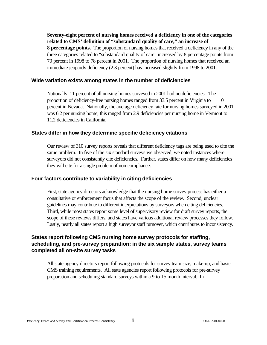**Seventy-eight percent of nursing homes received a deficiency in one of the categories related to CMS' definition of "substandard quality of care," an increase of 8 percentage points.** The proportion of nursing homes that received a deficiency in any of the three categories related to "substandard quality of care" increased by 8 percentage points from 70 percent in 1998 to 78 percent in 2001. The proportion of nursing homes that received an immediate jeopardy deficiency (2.3 percent) has increased slightly from 1998 to 2001.

### **Wide variation exists among states in the number of deficiencies**

Nationally, 11 percent of all nursing homes surveyed in 2001 had no deficiencies. The proportion of deficiency-free nursing homes ranged from 33.5 percent in Virginia to 0 percent in Nevada. Nationally, the average deficiency rate for nursing homes surveyed in 2001 was 6.2 per nursing home; this ranged from 2.9 deficiencies per nursing home in Vermont to 11.2 deficiencies in California.

### **States differ in how they determine specific deficiency citations**

Our review of 310 survey reports reveals that different deficiency tags are being used to cite the same problem. In five of the six standard surveys we observed, we noted instances where surveyors did not consistently cite deficiencies. Further, states differ on how many deficiencies they will cite for a single problem of non-compliance.

#### **Four factors contribute to variability in citing deficiencies**

First, state agency directors acknowledge that the nursing home survey process has either a consultative or enforcement focus that affects the scope of the review. Second, unclear guidelines may contribute to different interpretations by surveyors when citing deficiencies. Third, while most states report some level of supervisory review for draft survey reports, the scope of these reviews differs, and states have various additional review processes they follow. Lastly, nearly all states report a high surveyor staff turnover, which contributes to inconsistency.

### **States report following CMS nursing home survey protocols for staffing, scheduling, and pre-survey preparation; in the six sample states, survey teams completed all on-site survey tasks**

All state agency directors report following protocols for survey team size, make-up, and basic CMS training requirements. All state agencies report following protocols for pre-survey preparation and scheduling standard surveys within a 9-to-15 month interval. In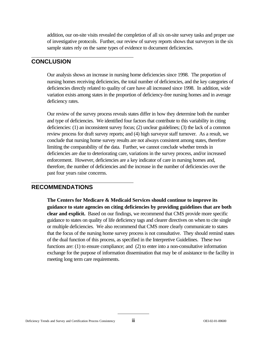addition, our on-site visits revealed the completion of all six on-site survey tasks and proper use of investigative protocols. Further, our review of survey reports shows that surveyors in the six sample states rely on the same types of evidence to document deficiencies.

### **CONCLUSION**

Our analysis shows an increase in nursing home deficiencies since 1998. The proportion of nursing homes receiving deficiencies, the total number of deficiencies, and the key categories of deficiencies directly related to quality of care have all increased since 1998. In addition, wide variation exists among states in the proportion of deficiency-free nursing homes and in average deficiency rates.

Our review of the survey process reveals states differ in how they determine both the number and type of deficiencies. We identified four factors that contribute to this variability in citing deficiencies: (1) an inconsistent survey focus; (2) unclear guidelines; (3) the lack of a common review process for draft survey reports; and (4) high surveyor staff turnover. As a result, we conclude that nursing home survey results are not always consistent among states, therefore limiting the comparability of the data. Further, we cannot conclude whether trends in deficiencies are due to deteriorating care, variations in the survey process, and/or increased enforcement. However, deficiencies are a key indicator of care in nursing homes and, therefore, the number of deficiencies and the increase in the number of deficiencies over the past four years raise concerns.

### **RECOMMENDATIONS**

**The Centers for Medicare & Medicaid Services should continue to improve its guidance to state agencies on citing deficiencies by providing guidelines that are both clear and explicit.** Based on our findings, we recommend that CMS provide more specific guidance to states on quality of life deficiency tags and clearer directives on when to cite single or multiple deficiencies. We also recommend that CMS more clearly communicate to states that the focus of the nursing home survey process is not consultative. They should remind states of the dual function of this process, as specified in the Interpretive Guidelines. These two functions are: (1) to ensure compliance; and (2) to enter into a non-consultative information exchange for the purpose of information dissemination that may be of assistance to the facility in meeting long term care requirements.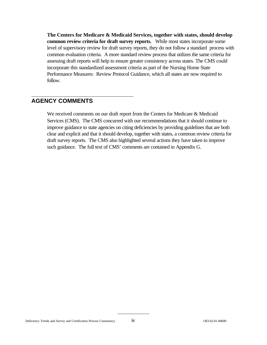**The Centers for Medicare & Medicaid Services, together with states, should develop common review criteria for draft survey reports.** While most states incorporate some level of supervisory review for draft survey reports, they do not follow a standard process with common evaluation criteria. A more standard review process that utilizes the same criteria for assessing draft reports will help to ensure greater consistency across states. The CMS could incorporate this standardized assessment criteria as part of the Nursing Home State Performance Measures: Review Protocol Guidance, which all states are now required to follow.

### **AGENCY COMMENTS**

We received comments on our draft report from the Centers for Medicare & Medicaid Services (CMS). The CMS concurred with our recommendations that it should continue to improve guidance to state agencies on citing deficiencies by providing guidelines that are both clear and explicit and that it should develop, together with states, a common review criteria for draft survey reports. The CMS also highlighted several actions they have taken to improve such guidance. The full text of CMS' comments are contained in Appendix G.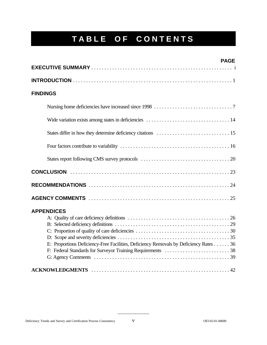# **TABLE OF CONTENTS**

| <b>PAGE</b>                                                                           |
|---------------------------------------------------------------------------------------|
|                                                                                       |
|                                                                                       |
| <b>FINDINGS</b>                                                                       |
|                                                                                       |
|                                                                                       |
|                                                                                       |
|                                                                                       |
|                                                                                       |
|                                                                                       |
|                                                                                       |
|                                                                                       |
| <b>APPENDICES</b>                                                                     |
| E: Proportions Deficiency-Free Facilities, Deficiency Removals by Deficiency Rates 36 |
|                                                                                       |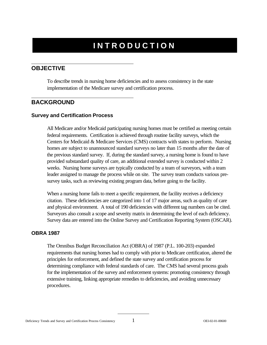# **INTRODUCTION**

## **OBJECTIVE**

To describe trends in nursing home deficiencies and to assess consistency in the state implementation of the Medicare survey and certification process.

### **BACKGROUND**

### **Survey and Certification Process**

All Medicare and/or Medicaid participating nursing homes must be certified as meeting certain federal requirements. Certification is achieved through routine facility surveys, which the Centers for Medicaid & Medicare Services (CMS) contracts with states to perform. Nursing homes are subject to unannounced standard surveys no later than 15 months after the date of the previous standard survey. If, during the standard survey, a nursing home is found to have provided substandard quality of care, an additional extended survey is conducted within 2 weeks. Nursing home surveys are typically conducted by a team of surveyors, with a team leader assigned to manage the process while on site. The survey team conducts various presurvey tasks, such as reviewing existing program data, before going to the facility.

When a nursing home fails to meet a specific requirement, the facility receives a deficiency citation. These deficiencies are categorized into 1 of 17 major areas, such as quality of care and physical environment. A total of 190 deficiencies with different tag numbers can be cited. Surveyors also consult a scope and severity matrix in determining the level of each deficiency. Survey data are entered into the Online Survey and Certification Reporting System (OSCAR).

### **OBRA 1987**

The Omnibus Budget Reconciliation Act (OBRA) of 1987 (P.L. 100-203) expanded requirements that nursing homes had to comply with prior to Medicare certification, altered the principles for enforcement, and defined the state survey and certification process for determining compliance with federal standards of care. The CMS had several process goals for the implementation of the survey and enforcement systems: promoting consistency through extensive training, linking appropriate remedies to deficiencies, and avoiding unnecessary procedures.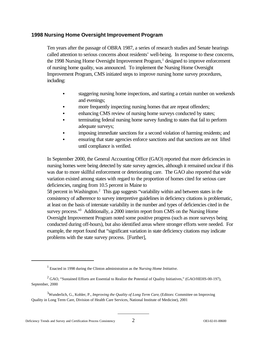### **1998 Nursing Home Oversight Improvement Program**

Ten years after the passage of OBRA 1987, a series of research studies and Senate hearings called attention to serious concerns about residents' well-being. In response to these concerns, the 1998 Nursing Home Oversight Improvement Program,<sup>1</sup> designed to improve enforcement of nursing home quality, was announced. To implement the Nursing Home Oversight Improvement Program, CMS initiated steps to improve nursing home survey procedures, including:

- staggering nursing home inspections, and starting a certain number on weekends and evenings;
- more frequently inspecting nursing homes that are repeat offenders;
- enhancing CMS review of nursing home surveys conducted by states;
- terminating federal nursing home survey funding to states that fail to perform adequate surveys;
- imposing immediate sanctions for a second violation of harming residents; and
- ensuring that state agencies enforce sanctions and that sanctions are not lifted until compliance is verified.

In September 2000, the General Accounting Office (GAO) reported that more deficiencies in nursing homes were being detected by state survey agencies, although it remained unclear if this was due to more skillful enforcement or deteriorating care. The GAO also reported that wide variation existed among states with regard to the proportion of homes cited for serious care deficiencies, ranging from 10.5 percent in Maine to

58 percent in Washington.2 This gap suggests "variability within and between states in the consistency of adherence to survey interpretive guidelines in deficiency citations is problematic, at least on the basis of interstate variability in the number and types of deficiencies cited in the survey process."<sup>3</sup> Additionally, a 2000 interim report from CMS on the Nursing Home Oversight Improvement Program noted some positive progress (such as more surveys being conducted during off-hours), but also identified areas where stronger efforts were needed. For example, the report found that "significant variation in state deficiency citations may indicate problems with the state survey process. [Further],

<sup>1</sup> Enacted in 1998 during the Clinton administration as the *Nursing Home Initiative.* 

<sup>&</sup>lt;sup>2</sup> GAO, "Sustained Efforts are Essential to Realize the Potential of Quality Initiatives," (GAO/HEHS-00-197), September, 2000

<sup>&</sup>lt;sup>3</sup>Wunderlich, G., Kohler, P., *Improving the Quality of Long Term Care*, (Editors: Committee on Improving Quality in Long Term Care, Division of Health Care Services, National Institute of Medicine), 2001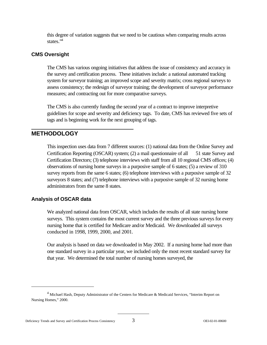this degree of variation suggests that we need to be cautious when comparing results across states."<sup>4</sup>

### **CMS Oversight**

The CMS has various ongoing initiatives that address the issue of consistency and accuracy in the survey and certification process. These initiatives include: a national automated tracking system for surveyor training; an improved scope and severity matrix; cross regional surveys to assess consistency; the redesign of surveyor training; the development of surveyor performance measures; and contracting out for more comparative surveys.

The CMS is also currently funding the second year of a contract to improve interpretive guidelines for scope and severity and deficiency tags. To date, CMS has reviewed five sets of tags and is beginning work for the next grouping of tags.

### **METHODOLOGY**

This inspection uses data from 7 different sources: (1) national data from the Online Survey and Certification Reporting (OSCAR) system; (2) a mail questionnaire of all 51 state Survey and Certification Directors; (3) telephone interviews with staff from all 10 regional CMS offices; (4) observations of nursing home surveys in a purposive sample of 6 states; (5) a review of 310 survey reports from the same 6 states; (6) telephone interviews with a purposive sample of 32 surveyors 8 states; and (7) telephone interviews with a purposive sample of 32 nursing home administrators from the same 8 states.

### **Analysis of OSCAR data**

We analyzed national data from OSCAR, which includes the results of all state nursing home surveys. This system contains the most current survey and the three previous surveys for every nursing home that is certified for Medicare and/or Medicaid. We downloaded all surveys conducted in 1998, 1999, 2000, and 2001.

Our analysis is based on data we downloaded in May 2002. If a nursing home had more than one standard survey in a particular year, we included only the most recent standard survey for that year. We determined the total number of nursing homes surveyed, the

<sup>&</sup>lt;sup>4</sup> Michael Hash, Deputy Administrator of the Centers for Medicare & Medicaid Services, "Interim Report on Nursing Homes," 2000.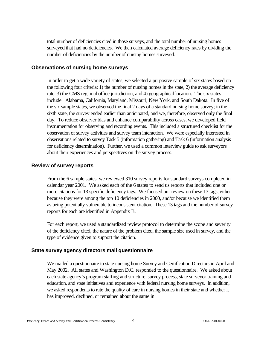total number of deficiencies cited in those surveys, and the total number of nursing homes surveyed that had no deficiencies. We then calculated average deficiency rates by dividing the number of deficiencies by the number of nursing homes surveyed.

### **Observations of nursing home surveys**

In order to get a wide variety of states, we selected a purposive sample of six states based on the following four criteria: 1) the number of nursing homes in the state, 2) the average deficiency rate, 3) the CMS regional office jurisdiction, and 4) geographical location. The six states include: Alabama, California, Maryland, Missouri, New York, and South Dakota. In five of the six sample states, we observed the final 2 days of a standard nursing home survey; in the sixth state, the survey ended earlier than anticipated, and we, therefore, observed only the final day. To reduce observer bias and enhance comparability across cases, we developed field instrumentation for observing and recording events. This included a structured checklist for the observation of survey activities and survey team interaction. We were especially interested in observations related to survey Task 5 (information gathering) and Task 6 (information analysis for deficiency determination). Further, we used a common interview guide to ask surveyors about their experiences and perspectives on the survey process.

### **Review of survey reports**

From the 6 sample states, we reviewed 310 survey reports for standard surveys completed in calendar year 2001. We asked each of the 6 states to send us reports that included one or more citations for 13 specific deficiency tags. We focused our review on these 13 tags, either because they were among the top 10 deficiencies in 2000, and/or because we identified them as being potentially vulnerable to inconsistent citation. These 13 tags and the number of survey reports for each are identified in Appendix B.

For each report, we used a standardized review protocol to determine the scope and severity of the deficiency cited, the nature of the problem cited, the sample size used in survey, and the type of evidence given to support the citation.

### **State survey agency directors mail questionnaire**

We mailed a questionnaire to state nursing home Survey and Certification Directors in April and May 2002. All states and Washington D.C. responded to the questionnaire. We asked about each state agency's program staffing and structure, survey process, state surveyor training and education, and state initiatives and experience with federal nursing home surveys. In addition, we asked respondents to rate the quality of care in nursing homes in their state and whether it has improved, declined, or remained about the same in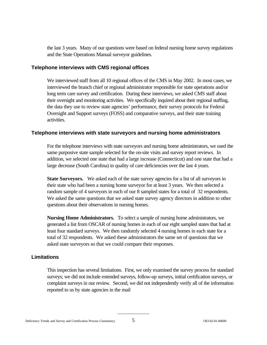the last 3 years. Many of our questions were based on federal nursing home survey regulations and the State Operations Manual surveyor guidelines.

### **Telephone interviews with CMS regional offices**

We interviewed staff from all 10 regional offices of the CMS in May 2002. In most cases, we interviewed the branch chief or regional administrator responsible for state operations and/or long term care survey and certification. During these interviews, we asked CMS staff about their oversight and monitoring activities. We specifically inquired about their regional staffing, the data they use to review state agencies' performance, their survey protocols for Federal Oversight and Support surveys (FOSS) and comparative surveys, and their state training activities.

### **Telephone interviews with state surveyors and nursing home administrators**

For the telephone interviews with state surveyors and nursing home administrators, we used the same purposive state sample selected for the on-site visits and survey report reviews. In addition, we selected one state that had a large increase (Connecticut) and one state that had a large decrease (South Carolina) in quality of care deficiencies over the last 4 years.

**State Surveyors.** We asked each of the state survey agencies for a list of all surveyors in their state who had been a nursing home surveyor for at least 3 years. We then selected a random sample of 4 surveyors in each of our 8 sampled states for a total of 32 respondents. We asked the same questions that we asked state survey agency directors in addition to other questions about their observations in nursing homes.

**Nursing Home Administrators.** To select a sample of nursing home administrators, we generated a list from OSCAR of nursing homes in each of our eight sampled states that had at least four standard surveys. We then randomly selected 4 nursing homes in each state for a total of 32 respondents. We asked these administrators the same set of questions that we asked state surveyors so that we could compare their responses.

### **Limitations**

This inspection has several limitations. First, we only examined the survey process for standard surveys; we did not include extended surveys, follow-up surveys, initial certification surveys, or complaint surveys in our review. Second, we did not independently verify all of the information reported to us by state agencies in the mail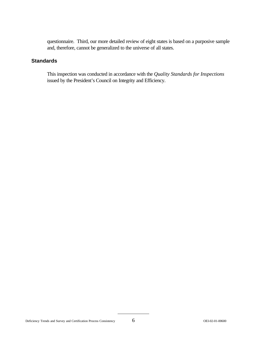questionnaire. Third, our more detailed review of eight states is based on a purposive sample and, therefore, cannot be generalized to the universe of all states.

### **Standards**

This inspection was conducted in accordance with the *Quality Standards for Inspections*  issued by the President's Council on Integrity and Efficiency.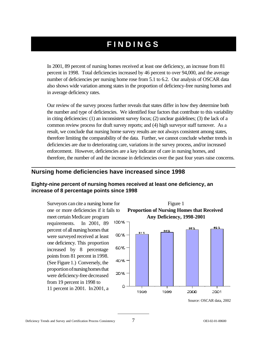# **FINDINGS**

In 2001, 89 percent of nursing homes received at least one deficiency, an increase from 81 percent in 1998. Total deficiencies increased by 46 percent to over 94,000, and the average number of deficiencies per nursing home rose from 5.1 to 6.2. Our analysis of OSCAR data also shows wide variation among states in the proportion of deficiency-free nursing homes and in average deficiency rates.

Our review of the survey process further reveals that states differ in how they determine both the number and type of deficiencies. We identified four factors that contribute to this variability in citing deficiencies: (1) an inconsistent survey focus; (2) unclear guidelines; (3) the lack of a common review process for draft survey reports; and (4) high surveyor staff turnover. As a result, we conclude that nursing home survey results are not always consistent among states, therefore limiting the comparability of the data. Further, we cannot conclude whether trends in deficiencies are due to deteriorating care, variations in the survey process, and/or increased enforcement. However, deficiencies are a key indicator of care in nursing homes, and therefore, the number of and the increase in deficiencies over the past four years raise concerns.

### **Nursing home deficiencies have increased since 1998**

### **Eighty-nine percent of nursing homes received at least one deficiency, an increase of 8 percentage points since 1998**

Surveyors can cite a nursing home for one or more deficiencies if it fails to meet certain Medicare program requirements. In 2001, 89 percent of all nursing homes that were surveyed received at least one deficiency. This proportion increased by 8 percentage points from 81 percent in 1998. (See Figure 1.) Conversely, the proportionofnursinghomesthat were deficiency-free decreased from 19 percent in 1998 to 11 percent in 2001. In2001, a



Source: OSCAR data, 2002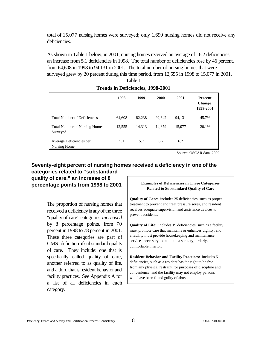total of 15,077 nursing homes were surveyed; only 1,690 nursing homes did not receive any deficiencies.

As shown in Table 1 below, in 2001, nursing homes received an average of 6.2 deficiencies, an increase from 5.1 deficiencies in 1998. The total number of deficiencies rose by 46 percent, from 64,608 in 1998 to 94,131 in 2001. The total number of nursing homes that were surveyed grew by 20 percent during this time period, from 12,555 in 1998 to 15,077 in 2001.

|                                                  | 1998   | 1999   | 2000   | 2001   | <b>Percent</b><br><b>Change</b><br>1998-2001 |
|--------------------------------------------------|--------|--------|--------|--------|----------------------------------------------|
| <b>Total Number of Deficiencies</b>              | 64,608 | 82.238 | 92.642 | 94,131 | 45.7%                                        |
| <b>Total Number of Nursing Homes</b><br>Surveyed | 12,555 | 14.313 | 14,879 | 15,077 | 20.1%                                        |
| Average Deficiencies per<br>Nursing Home         | 5.1    | 5.7    | 6.2    | 6.2    |                                              |

### Table 1 **Trends in Deficiencies, 1998-2001**

Source: OSCAR data, 2002

### **Seventy-eight percent of nursing homes received a deficiency in one of the categories related to "substandard quality of care," an increase of 8**

**percentage points from 1998 to 2001** 

The proportion of nursing homes that received a deficiency in any of the three "quality of care" categories *increased*  by 8 percentage points, from 70 percent in 1998 to 78 percent in 2001. These three categories are part of CMS' definition of substandard quality of care. They include: one that is specifically called quality of care, another referred to as quality of life, and a third that is resident behavior and facility practices. See Appendix A for a list of all deficiencies in each category.

#### **Examples of Deficiencies in Three Categories Related to Substandard Quality of Care**

**Quality of Care:** includes 25 deficiencies, such as proper treatment to prevent and treat pressure sores, and resident receives adequate supervision and assistance devices to prevent accidents.

**Quality of Life:** includes 19 deficiencies, such as a facility must promote care that maintains or enhances dignity, and a facility must provide housekeeping and maintenance services necessary to maintain a sanitary, orderly, and comfortable interior.

**Resident Behavior and Facility Practices:** includes 6 deficiencies, such as a resident has the right to be free from any physical restraint for purposes of discipline and convenience, and the facility may not employ persons who have been found guilty of abuse.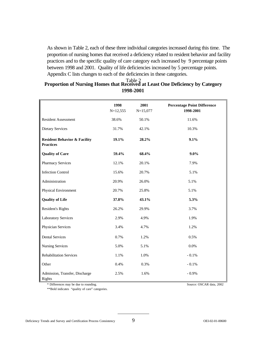As shown in Table 2, each of these three individual categories increased during this time. The proportion of nursing homes that received a deficiency related to resident behavior and facility practices and to the specific quality of care category each increased by 9 percentage points between 1998 and 2001. Quality of life deficiencies increased by 5 percentage points. Appendix C lists changes to each of the deficiencies in these categories.

## Table 2 **Proportion of Nursing Homes that Received at Least One Deficiency by Category 1998-2001**

|                                                             | 1998<br>$N=12,555$ | 2001<br>$N=15,077$ | <b>Percentage Point Difference</b><br>1998-2001 |
|-------------------------------------------------------------|--------------------|--------------------|-------------------------------------------------|
| <b>Resident Assessment</b>                                  | 38.6%              | 50.1%              | 11.6%                                           |
| <b>Dietary Services</b>                                     | 31.7%              | 42.1%              | 10.3%                                           |
| <b>Resident Behavior &amp; Facility</b><br><b>Practices</b> | 19.1%              | 28.2%              | 9.1%                                            |
| <b>Quality of Care</b>                                      | 59.4%              | 68.4%              | $9.0\%$                                         |
| <b>Pharmacy Services</b>                                    | 12.1%              | 20.1%              | 7.9%                                            |
| <b>Infection Control</b>                                    | 15.6%              | 20.7%              | 5.1%                                            |
| Administration                                              | 20.9%              | 26.0%              | 5.1%                                            |
| Physical Environment                                        | 20.7%              | 25.8%              | 5.1%                                            |
| <b>Quality of Life</b>                                      | 37.8%              | 43.1%              | 5.3%                                            |
| Resident's Rights                                           | 26.2%              | 29.9%              | 3.7%                                            |
| <b>Laboratory Services</b>                                  | 2.9%               | 4.9%               | 1.9%                                            |
| Physician Services                                          | 3.4%               | 4.7%               | 1.2%                                            |
| <b>Dental Services</b>                                      | 0.7%               | 1.2%               | 0.5%                                            |
| <b>Nursing Services</b>                                     | 5.0%               | 5.1%               | 0.0%                                            |
| <b>Rehabilitation Services</b>                              | 1.1%               | 1.0%               | $-0.1%$                                         |
| Other                                                       | 0.4%               | 0.3%               | $-0.1%$                                         |
| Admission, Transfer, Discharge<br>Rights                    | 2.5%               | 1.6%               | $-0.9%$                                         |

\* Differences may be due to rounding. Source: OSCAR data, 2002

\*\*Bold indicates "quality of care" categories.

Deficiency Trends and Survey and Certification Process Consistency 9 OEI-02-01-00600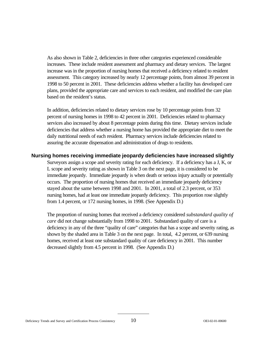As also shown in Table 2, deficiencies in three other categories experienced considerable increases. These include resident assessment and pharmacy and dietary services. The largest increase was in the proportion of nursing homes that received a deficiency related to resident assessment. This category increased by nearly 12 percentage points, from almost 39 percent in 1998 to 50 percent in 2001. These deficiencies address whether a facility has developed care plans, provided the appropriate care and services to each resident, and modified the care plan based on the resident's status.

In addition, deficiencies related to dietary services rose by 10 percentage points from 32 percent of nursing homes in 1998 to 42 percent in 2001. Deficiencies related to pharmacy services also increased by about 8 percentage points during this time. Dietary services include deficiencies that address whether a nursing home has provided the appropriate diet to meet the daily nutritional needs of each resident. Pharmacy services include deficiencies related to assuring the accurate dispensation and administration of drugs to residents.

### **Nursing homes receiving immediate jeopardy deficiencies have increased slightly**

Surveyors assign a scope and severity rating for each deficiency. If a deficiency has a J, K, or L scope and severity rating as shown in Table 3 on the next page, it is considered to be immediate jeopardy. Immediate jeopardy is when death or serious injury actually or potentially occurs. The proportion of nursing homes that received an immediate jeopardy deficiency stayed about the same between 1998 and 2001. In 2001, a total of 2.3 percent, or 353 nursing homes, had at least one immediate jeopardy deficiency. This proportion rose slightly from 1.4 percent, or 172 nursing homes, in 1998. (See Appendix D.)

The proportion of nursing homes that received a deficiency considered *substandard quality of care* did not change substantially from 1998 to 2001. Substandard quality of care is a deficiency in any of the three "quality of care" categories that has a scope and severity rating, as shown by the shaded area in Table 3 on the next page. In total, 4.2 percent, or 639 nursing homes, received at least one substandard quality of care deficiency in 2001. This number decreased slightly from 4.5 percent in 1998. (See Appendix D.)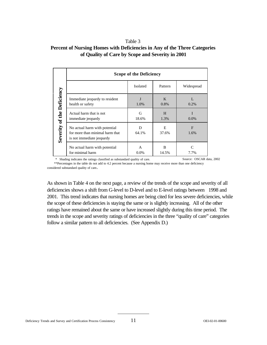#### Table 3

| Percent of Nursing Homes with Deficiencies in Any of the Three Categories |
|---------------------------------------------------------------------------|
| of Quality of Care by Scope and Severity in 2001                          |

|                            | <b>Scope of the Deficiency</b>                                                                |                 |            |              |
|----------------------------|-----------------------------------------------------------------------------------------------|-----------------|------------|--------------|
|                            |                                                                                               | <b>Isolated</b> | Pattern    | Widespread   |
|                            | Immediate jeopardy to resident<br>health or safety                                            | 1.0%            | K<br>0.8%  | L<br>$0.2\%$ |
|                            | Actual harm that is not<br>immediate jeopardy                                                 | G<br>18.6%      | H<br>1.3%  | T<br>$0.0\%$ |
| Severity of the Deficiency | No actual harm with potential<br>for more than minimal harm that<br>is not immediate jeopardy | D<br>64.1%      | E<br>37.6% | F<br>1.6%    |
|                            | No actual harm with potential<br>for minimal harm                                             | A<br>$0.0\%$    | B<br>14.5% | 7.7%         |

\* Shading indicates the ratings classified as substandard quality of care. Source: OSCAR data, 2002 \*\*Percentages in the table do not add to 4.2 percent because a nursing home may receive more than one deficiency considered substandard quality of care.

As shown in Table 4 on the next page, a review of the trends of the scope and severity of all deficiencies shows a shift from G-level to D-level and to E-level ratings between 1998 and 2001. This trend indicates that nursing homes are being cited for less severe deficiencies, while the scope of these deficiencies is staying the same or is slightly increasing. All of the other ratings have remained about the same or have increased slightly during this time period. The trends in the scope and severity ratings of deficiencies in the three "quality of care" categories follow a similar pattern to all deficiencies. (See Appendix D.)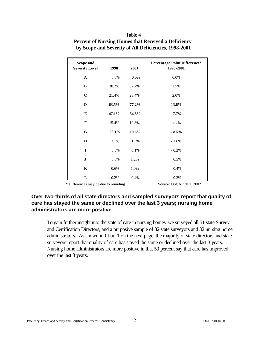| Scope and<br><b>Severity Level</b> | 1998  | 2001  | <b>Percentage Point Difference*</b><br>1998-2001 |
|------------------------------------|-------|-------|--------------------------------------------------|
| $\mathbf A$                        | 0.0%  | 0.0%  | 0.0%                                             |
| B                                  | 30.2% | 32.7% | 2.5%                                             |
| $\bf C$                            | 21.4% | 23.4% | 2.0%                                             |
| D                                  | 63.5% | 77.2% | 13.6%                                            |
| E                                  | 47.1% | 54.8% | $7.7\%$                                          |
| $\mathbf{F}$                       | 15.4% | 19.8% | 4.4%                                             |
| ${\bf G}$                          | 28.1% | 19.6% | $-8.5%$                                          |
| $\mathbf H$                        | 3.1%  | 1.5%  | $-1.6%$                                          |
| $\mathbf I$                        | 0.3%  | 0.1%  | $-0.2\%$                                         |
| $\mathbf{J}$                       | 0.8%  | 1.2%  | 0.5%                                             |
| $\mathbf K$                        | 0.6%  | 1.0%  | 0.4%                                             |
| L                                  | 0.2%  | 0.4%  | 0.2%                                             |

### Table 4 **Percent of Nursing Homes that Received a Deficiency by Scope and Severity of All Deficiencies, 1998-2001**

\* Differences may be due to rounding Source: OSCAR data, 2002

### **Over two-thirds of all state directors and sampled surveyors report that quality of care has stayed the same or declined over the last 3 years; nursing home administrators are more positive**

To gain further insight into the state of care in nursing homes, we surveyed all 51 state Survey and Certification Directors, and a purposive sample of 32 state surveyors and 32 nursing home administrators. As shown in Chart 1 on the next page, the majority of state directors and state surveyors report that quality of care has stayed the same or declined over the last 3 years. Nursing home administrators are more positive in that 59 percent say that care has improved over the last 3 years.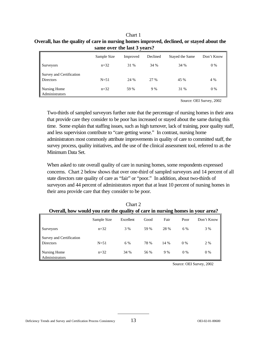| Chart 1                                                                                   |
|-------------------------------------------------------------------------------------------|
| Overall, has the quality of care in nursing homes improved, declined, or stayed about the |
| same over the last 3 years?                                                               |

|                                              | Sample Size | Improved | Declined | Stayed the Same | Don't Know |
|----------------------------------------------|-------------|----------|----------|-----------------|------------|
| <b>Surveyors</b>                             | $n = 32$    | 31 %     | 34 %     | 34 %            | 0 %        |
| Survey and Certification<br><b>Directors</b> | $N=51$      | 24 %     | 27 %     | 45 %            | 4 %        |
| Nursing Home<br>Administrators               | $n = 32$    | 59 %     | 9 %      | 31 %            | $0\%$      |

Source: OEI Survey, 2002

Two-thirds of sampled surveyors further note that the percentage of nursing homes in their area that provide care they consider to be poor has increased or stayed about the same during this time. Some explain that staffing issues, such as high turnover, lack of training, poor quality staff, and less supervision contribute to "care getting worse." In contrast, nursing home administrators most commonly attribute improvements in quality of care to committed staff, the survey process, quality initiatives, and the use of the clinical assessment tool, referred to as the Minimum Data Set.

When asked to rate overall quality of care in nursing homes, some respondents expressed concerns. Chart 2 below shows that over one-third of sampled surveyors and 14 percent of all state directors rate quality of care as "fair" or "poor." In addition, about two-thirds of surveyors and 44 percent of administrators report that at least 10 percent of nursing homes in their area provide care that they consider to be poor.

|                                                                                |             | Chart 2   |      |      |       |            |
|--------------------------------------------------------------------------------|-------------|-----------|------|------|-------|------------|
| Overall, how would you rate the quality of care in nursing homes in your area? |             |           |      |      |       |            |
|                                                                                | Sample Size | Excellent | Good | Fair | Poor  | Don't Know |
| Surveyors                                                                      | $n = 32$    | 3 %       | 59 % | 28 % | 6 %   | 3 %        |
| Survey and Certification                                                       |             |           |      |      |       |            |
| <b>Directors</b>                                                               | $N = 51$    | 6 %       | 78 % | 14 % | $0\%$ | 2 %        |
| Nursing Home<br>Administrators                                                 | $n = 32$    | 34 %      | 56 % | 9%   | 0%    | $0\%$      |

Source: OEI Survey, 2002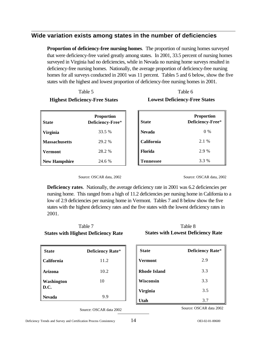## **Wide variation exists among states in the number of deficiencies**

**Proportion of deficiency-free nursing homes**. The proportion of nursing homes surveyed that were deficiency-free varied greatly among states. In 2001, 33.5 percent of nursing homes surveyed in Virginia had no deficiencies, while in Nevada no nursing home surveys resulted in deficiency-free nursing homes. Nationally, the average proportion of deficiency-free nursing homes for all surveys conducted in 2001 was 11 percent. Tables 5 and 6 below, show the five states with the highest and lowest proportion of deficiency-free nursing homes in 2001.

| Table 5                               | Table 6                              |
|---------------------------------------|--------------------------------------|
| <b>Highest Deficiency-Free States</b> | <b>Lowest Deficiency-Free States</b> |

| <b>State</b>   | <b>Proportion</b><br>Deficiency-Free* | <b>State</b>   | <b>Proportion</b><br>Deficiency-Free* |
|----------------|---------------------------------------|----------------|---------------------------------------|
| Virginia       | 33.5 %                                | <b>Nevada</b>  | $0\%$                                 |
| Massachusetts  | 29.2 %                                | California     | 2.1 %                                 |
| <b>Vermont</b> | 28.2 %                                | <b>Florida</b> | 2.9 %                                 |
| New Hampshire  | 24.6 %                                | Tennessee      | 3.3 %                                 |

Source: OSCAR data, 2002

Source: OSCAR data, 2002

**Deficiency rates**. Nationally, the average deficiency rate in 2001 was 6.2 deficiencies per nursing home. This ranged from a high of 11.2 deficiencies per nursing home in California to a low of 2.9 deficiencies per nursing home in Vermont. Tables 7 and 8 below show the five states with the highest deficiency rates and the five states with the lowest deficiency rates in 2001.

## Table 7 **States with Highest Deficiency Rate**

| <b>State</b>       | <b>Deficiency Rate*</b> |
|--------------------|-------------------------|
| <b>California</b>  | 11.2                    |
| Arizona            | 10.2                    |
| Washington<br>D.C. | 10                      |
| <b>Nevada</b>      | 9.9                     |

Source: OSCAR data 2002

### Table 8 **States with Lowest Deficiency Rate**

| <b>State</b> | <b>Deficiency Rate*</b> |
|--------------|-------------------------|
| Vermont      | 2.9                     |
| Rhode Island | 3.3                     |
| Wisconsin    | 3.3                     |
| Virginia     | 3.5                     |
| Utah         | 3.7                     |

Source: OSCAR data 2002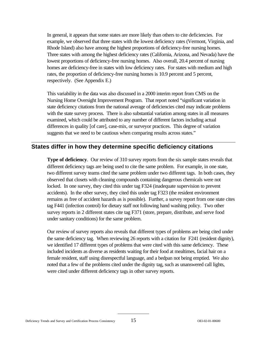In general, it appears that some states are more likely than others to cite deficiencies. For example, we observed that three states with the lowest deficiency rates (Vermont, Virginia, and Rhode Island) also have among the highest proportions of deficiency-free nursing homes. Three states with among the highest deficiency rates (California, Arizona, and Nevada) have the lowest proportions of deficiency-free nursing homes. Also overall, 20.4 percent of nursing homes are deficiency-free in states with low deficiency rates. For states with medium and high rates, the proportion of deficiency-free nursing homes is 10.9 percent and 5 percent, respectively. (See Appendix E.)

This variability in the data was also discussed in a 2000 interim report from CMS on the Nursing Home Oversight Improvement Program. That report noted "significant variation in state deficiency citations from the national average of deficiencies cited may indicate problems with the state survey process. There is also substantial variation among states in all measures examined, which could be attributed to any number of different factors including actual differences in quality [of care], case-mix, or surveyor practices. This degree of variation suggests that we need to be cautious when comparing results across states."

### **States differ in how they determine specific deficiency citations**

**Type of deficiency.** Our review of 310 survey reports from the six sample states reveals that different deficiency tags are being used to cite the same problem. For example, in one state, two different survey teams cited the same problem under two different tags. In both cases, they observed that closets with cleaning compounds containing dangerous chemicals were not locked. In one survey, they cited this under tag F324 (inadequate supervision to prevent accidents). In the other survey, they cited this under tag F323 (the resident environment remains as free of accident hazards as is possible). Further, a survey report from one state cites tag F441 (infection control) for dietary staff not following hand washing policy. Two other survey reports in 2 different states cite tag F371 (store, prepare, distribute, and serve food under sanitary conditions) for the same problem.

Our review of survey reports also reveals that different types of problems are being cited under the same deficiency tag. When reviewing 26 reports with a citation for F241 (resident dignity), we identified 17 different types of problems that were cited with this same deficiency. These included incidents as diverse as residents waiting for their food at mealtimes, facial hair on a female resident, staff using disrespectful language, and a bedpan not being emptied. We also noted that a few of the problems cited under the dignity tag, such as unanswered call lights, were cited under different deficiency tags in other survey reports.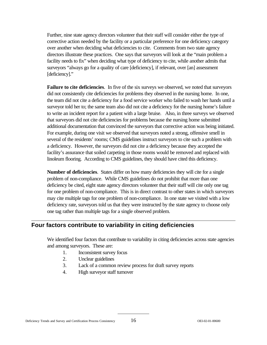Further, nine state agency directors volunteer that their staff will consider either the type of corrective action needed by the facility or a particular preference for one deficiency category over another when deciding what deficiencies to cite. Comments from two state agency directors illustrate these practices. One says that surveyors will look at the "main problem a facility needs to fix" when deciding what type of deficiency to cite, while another admits that surveyors "always go for a quality of care [deficiency], if relevant, over [an] assessment [deficiency]."

**Failure to cite deficiencies**. In five of the six surveys we observed, we noted that surveyors did not consistently cite deficiencies for problems they observed in the nursing home. In one, the team did not cite a deficiency for a food service worker who failed to wash her hands until a surveyor told her to; the same team also did not cite a deficiency for the nursing home's failure to write an incident report for a patient with a large bruise. Also, in three surveys we observed that surveyors did not cite deficiencies for problems because the nursing home submitted additional documentation that convinced the surveyors that corrective action was being initiated. For example, during one visit we observed that surveyors noted a strong, offensive smell in several of the residents' rooms; CMS guidelines instruct surveyors to cite such a problem with a deficiency. However, the surveyors did not cite a deficiency because they accepted the facility's assurance that soiled carpeting in those rooms would be removed and replaced with linoleum flooring. According to CMS guidelines, they should have cited this deficiency.

**Number of deficiencies**. States differ on how many deficiencies they will cite for a single problem of non-compliance. While CMS guidelines do not prohibit that more than one deficiency be cited, eight state agency directors volunteer that their staff will cite only one tag for one problem of non-compliance. This is in direct contrast to other states in which surveyors may cite multiple tags for one problem of non-compliance. In one state we visited with a low deficiency rate, surveyors told us that they were instructed by the state agency to choose only one tag rather than multiple tags for a single observed problem.

## **Four factors contribute to variability in citing deficiencies**

We identified four factors that contribute to variability in citing deficiencies across state agencies and among surveyors. These are:

- 1. Inconsistent survey focus
- 2. Unclear guidelines
- 3. Lack of a common review process for draft survey reports
- 4. High surveyor staff turnover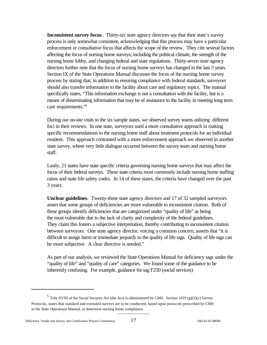**Inconsistent survey focus**. Thirty-six state agency directors say that their state's survey process is only somewhat consistent, acknowledging that this process may have a particular enforcement or consultative focus that affects the scope of the review. They cite several factors affecting the focus of nursing home surveys, including the political climate, the strength of the nursing home lobby, and changing federal and state regulations. Thirty-seven state agency directors further note that the focus of nursing home surveys has changed in the last 3 years. Section IX of the State Operations Manual discusses the focus of the nursing home survey process by stating that, in addition to ensuring compliance with federal standards, surveyors should also transfer information to the facility about care and regulatory topics. The manual specifically states, "This information exchange is not a consultation with the facility, but is a means of disseminating information that may be of assistance to the facility in meeting long term care requirements."<sup>5</sup>

During our on-site visits to the six sample states, we observed survey teams utilizing different foci in their reviews. In one state, surveyors used a more consultative approach in making specific recommendations to the nursing home staff about treatment protocols for an individual resident. This approach contrasted with a more enforcement approach we observed in another state survey, where very little dialogue occurred between the survey team and nursing home staff.

Lastly, 21 states have state specific criteria governing nursing home surveys that may affect the focus of their federal surveys. These state criteria most commonly include nursing home staffing ratios and state life safety codes. In 14 of these states, the criteria have changed over the past 3 years.

**Unclear guidelines**. Twenty-three state agency directors and 17 of 32 sampled surveyors assert that some groups of deficiencies are more vulnerable to inconsistent citation. Both of these groups identify deficiencies that are categorized under "quality of life" as being the most vulnerable due to the lack of clarity and complexity of the federal guidelines. They claim this fosters a subjective interpretation, thereby contributing to inconsistent citation between surveyors. One state agency director, voicing a common concern, asserts that "it is difficult to assign harm or immediate jeopardy to the quality of life tags. Quality of life tags can be more subjective. A clear directive is needed."

As part of our analysis, we reviewed the State Operations Manual for deficiency tags under the "quality of life" and "quality of care" categories. We found some of the guidance to be inherently confusing. For example, guidance for tag F250 (social services)

 $5$  Title XVIII of the Social Security Act (the Act) is administered by CMS. Section 1819 (g)(2)(c) Survey Protocols, states that standard and extended surveys are to be conducted, based upon protocols prescribed by CMS in the State Operations Manual, to determine nursing home compliance.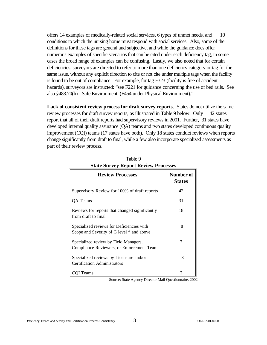offers 14 examples of medically-related social services, 6 types of unmet needs, and 10 conditions to which the nursing home must respond with social services. Also, some of the definitions for these tags are general and subjective, and while the guidance does offer numerous examples of specific scenarios that can be cited under each deficiency tag, in some cases the broad range of examples can be confusing. Lastly, we also noted that for certain deficiencies, surveyors are directed to refer to more than one deficiency category or tag for the same issue, without any explicit direction to cite or not cite under multiple tags when the facility is found to be out of compliance. For example, for tag F323 (facility is free of accident hazards), surveyors are instructed: "see F221 for guidance concerning the use of bed rails. See also §483.70(h) - Safe Environment. (F454 under Physical Environment)."

**Lack of consistent review process for draft survey reports**. States do not utilize the same review processes for draft survey reports, as illustrated in Table 9 below. Only 42 states report that all of their draft reports had supervisory reviews in 2001. Further, 31 states have developed internal quality assurance (QA) teams and two states developed continuous quality improvement (CQI) teams (17 states have both). Only 18 states conduct reviews when reports change significantly from draft to final, while a few also incorporate specialized assessments as part of their review process.

| <b>Review Processes</b>                                                                | <b>Number of</b><br><b>States</b> |
|----------------------------------------------------------------------------------------|-----------------------------------|
| Supervisory Review for 100% of draft reports                                           | 42                                |
| QA Teams                                                                               | 31                                |
| Reviews for reports that changed significantly<br>from draft to final                  | 18                                |
| Specialized reviews for Deficiencies with<br>Scope and Severity of G level * and above | 8                                 |
| Specialized review by Field Managers,<br>Compliance Reviewers, or Enforcement Team     | 7                                 |
| Specialized reviews by Licensure and/or<br><b>Certification Administrators</b>         | 3                                 |
| COI Teams                                                                              | $\mathcal{D}_{\mathcal{A}}$       |

Table 9 **State Survey Report Review Processes** 

Source: State Agency Director Mail Questionnaire, 2002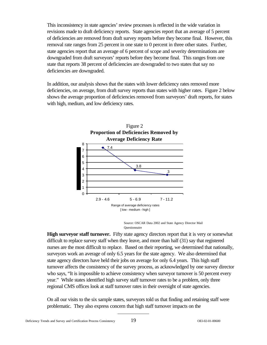This inconsistency in state agencies' review processes is reflected in the wide variation in revisions made to draft deficiency reports. State agencies report that an average of 5 percent of deficiencies are removed from draft survey reports before they become final. However, this removal rate ranges from 25 percent in one state to 0 percent in three other states. Further, state agencies report that an average of 6 percent of scope and severity determinations are downgraded from draft surveyors' reports before they become final. This ranges from one state that reports 38 percent of deficiencies are downgraded to two states that say no deficiencies are downgraded.

In addition, our analysis shows that the states with lower deficiency rates removed more deficiencies, on average, from draft survey reports than states with higher rates. Figure 2 below shows the average proportion of deficiencies removed from surveyors' draft reports, for states with high, medium, and low deficiency rates.



Source: OSCAR Data 2002 and State Agency Director Mail Questionnaire

**High surveyor staff turnover.** Fifty state agency directors report that it is very or somewhat difficult to replace survey staff when they leave, and more than half (31) say that registered nurses are the most difficult to replace. Based on their reporting, we determined that nationally, surveyors work an average of only 6.5 years for the state agency. We also determined that state agency directors have held their jobs on average for only 6.4 years. This high staff turnover affects the consistency of the survey process, as acknowledged by one survey director who says, "It is impossible to achieve consistency when surveyor turnover is 50 percent every year." While states identified high survey staff turnover rates to be a problem, only three regional CMS offices look at staff turnover rates in their oversight of state agencies.

On all our visits to the six sample states, surveyors told us that finding and retaining staff were problematic. They also express concern that high staff turnover impacts on the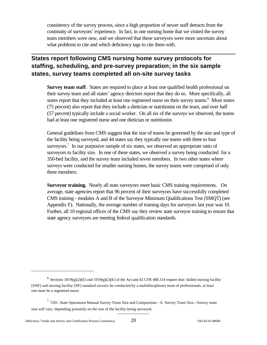consistency of the survey process, since a high proportion of newer staff detracts from the continuity of surveyors' experience. In fact, in one nursing home that we visited the survey team members were new, and we observed that these surveyors were more uncertain about what problems to cite and which deficiency tags to cite them with.

## **States report following CMS nursing home survey protocols for staffing, scheduling, and pre-survey preparation; in the six sample states, survey teams completed all on-site survey tasks**

**Survey team staff.** States are required to place at least one qualified health professional on their survey team and all states' agency directors report that they do so. More specifically, all states report that they included at least one registered nurse on their survey teams.<sup>6</sup> Most states (75 percent) also report that they include a dietician or nutritionist on the team, and over half (57 percent) typically include a social worker. On all six of the surveys we observed, the teams had at least one registered nurse and one dietician or nutritionist.

General guidelines from CMS suggest that the size of teams be governed by the size and type of the facility being surveyed, and 44 states say they typically use teams with three to four surveyors.<sup>7</sup> In our purposive sample of six states, we observed an appropriate ratio of surveyors to facility size. In one of these states, we observed a survey being conducted for a 350-bed facility, and the survey team included seven members. In two other states where surveys were conducted for smaller nursing homes, the survey teams were comprised of only three members.

**Surveyor training.** Nearly all state surveyors meet basic CMS training requirements. On average, state agencies report that 96 percent of their surveyors have successfully completed CMS training - modules A and B of the Surveyor Minimum Qualifications Test (SMQT) (see Appendix F). Nationally, the average number of training days for surveyors last year was 10. Further, all 10 regional offices of the CMS say they review state surveyor training to ensure that state agency surveyors are meeting federal qualification standards.

<sup>&</sup>lt;sup>6</sup> Sections 1819(g)(2)(E) and 1919(g)(2)(E) of the Act and 42 CFR 488.314 require that: skilled nursing facility [SNF] and nursing facility [NF] standard surveys be conducted by a multidisciplinary team of professionals, at least one must be a registered nurse.

 $7$  7201. State Operations Manual Survey Team Size and Composition - A. Survey Team Size.--Survey team size will vary, depending primarily on the size of the facility being surveyed.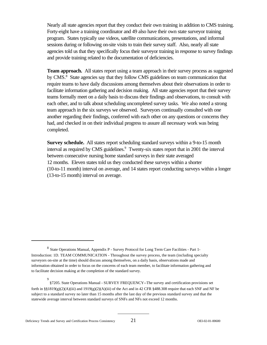Nearly all state agencies report that they conduct their own training in addition to CMS training. Forty-eight have a training coordinator and 49 also have their own state surveyor training program. States typically use videos, satellite communications, presentations, and informal sessions during or following on-site visits to train their survey staff. Also, nearly all state agencies told us that they specifically focus their surveyor training in response to survey findings and provide training related to the documentation of deficiencies.

**Team approach.** All states report using a team approach in their survey process as suggested by CMS.<sup>8</sup> State agencies say that they follow CMS guidelines on team communication that require teams to have daily discussions among themselves about their observations in order to facilitate information gathering and decision making. All state agencies report that their survey teams formally meet on a daily basis to discuss their findings and observations, to consult with each other, and to talk about scheduling uncompleted survey tasks. We also noted a strong team approach in the six surveys we observed. Surveyors continually consulted with one another regarding their findings, conferred with each other on any questions or concerns they had, and checked in on their individual progress to assure all necessary work was being completed.

**Survey schedule.** All states report scheduling standard surveys within a 9-to-15 month interval as required by CMS guidelines.<sup>9</sup> Twenty-six states report that in 2001 the interval between consecutive nursing home standard surveys in their state averaged 12 months. Eleven states told us they conducted these surveys within a shorter (10-to-11 month) interval on average, and 14 states report conducting surveys within a longer (13-to-15 month) interval on average.

<sup>8</sup> State Operations Manual, Appendix P - Survey Protocol for Long Term Care Facilities - Part 1- Introduction: 1D. TEAM COMMUNICATION - Throughout the survey process, the team (including specialty surveyors on-site at the time) should discuss among themselves, on a daily basis, observations made and information obtained in order to focus on the concerns of each team member, to facilitate information gathering and to facilitate decision making at the completion of the standard survey.

<sup>9</sup>  §7205. State Operations Manual - SURVEY FREQUENCY--The survey and certification provisions set forth in  $\S(1819(g)(2))$ (A)(iii) and  $1919(g)(2)$ (A)(iii) of the Act and in 42 CFR  $\S(1818.308)$  require that each SNF and NF be subject to a standard survey no later than 15 months after the last day of the previous standard survey and that the statewide average interval between standard surveys of SNFs and NFs not exceed 12 months.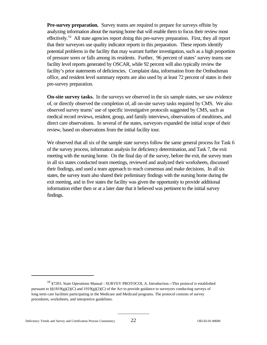**Pre-survey preparation.** Survey teams are required to prepare for surveys offsite by analyzing information about the nursing home that will enable them to focus their review most effectively.<sup>10</sup> All state agencies report doing this pre-survey preparation. First, they all report that their surveyors use quality indicator reports in this preparation. These reports identify potential problems in the facility that may warrant further investigation, such as a high proportion of pressure sores or falls among its residents. Further, 96 percent of states' survey teams use facility level reports generated by OSCAR, while 92 percent will also typically review the facility's prior statements of deficiencies. Complaint data, information from the Ombudsman office, and resident level summary reports are also used by at least 72 percent of states in their pre-survey preparation.

**On-site survey tasks.** In the surveys we observed in the six sample states, we saw evidence of, or directly observed the completion of, all on-site survey tasks required by CMS. We also observed survey teams' use of specific investigative protocols suggested by CMS, such as medical record reviews, resident, group, and family interviews, observations of mealtimes, and direct care observations. In several of the states, surveyors expanded the initial scope of their review, based on observations from the initial facility tour.

We observed that all six of the sample state surveys follow the same general process for Task 6 of the survey process, information analysis for deficiency determination, and Task 7, the exit meeting with the nursing home. On the final day of the survey, before the exit, the survey team in all six states conducted team meetings, reviewed and analyzed their worksheets, discussed their findings, and used a team approach to reach consensus and make decisions. In all six states, the survey team also shared their preliminary findings with the nursing home during the exit meeting, and in five states the facility was given the opportunity to provide additional information either then or at a later date that it believed was pertinent to the initial survey findings.

<sup>&</sup>lt;sup>10</sup> §7203. State Operations Manual - SURVEY PROTOCOL A. Introduction.--This protocol is established pursuant to  $\S\$ 1819(g)(2)(C) and 1919(g)(2)(C) of the Act to provide guidance to surveyors conducting surveys of long term care facilities participating in the Medicare and Medicaid programs. The protocol consists of survey procedures, worksheets, and interpretive guidelines.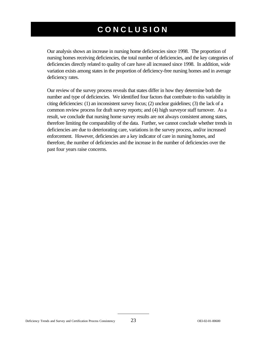# **CONCLUSION**

Our analysis shows an increase in nursing home deficiencies since 1998. The proportion of nursing homes receiving deficiencies, the total number of deficiencies, and the key categories of deficiencies directly related to quality of care have all increased since 1998. In addition, wide variation exists among states in the proportion of deficiency-free nursing homes and in average deficiency rates.

Our review of the survey process reveals that states differ in how they determine both the number and type of deficiencies. We identified four factors that contribute to this variability in citing deficiencies: (1) an inconsistent survey focus; (2) unclear guidelines; (3) the lack of a common review process for draft survey reports; and (4) high surveyor staff turnover. As a result, we conclude that nursing home survey results are not always consistent among states, therefore limiting the comparability of the data. Further, we cannot conclude whether trends in deficiencies are due to deteriorating care, variations in the survey process, and/or increased enforcement. However, deficiencies are a key indicator of care in nursing homes, and therefore, the number of deficiencies and the increase in the number of deficiencies over the past four years raise concerns.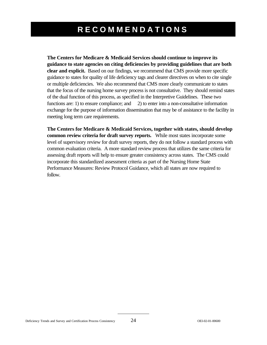# **RECOMMENDATIONS**

**The Centers for Medicare & Medicaid Services should continue to improve its guidance to state agencies on citing deficiencies by providing guidelines that are both clear and explicit.** Based on our findings, we recommend that CMS provide more specific guidance to states for quality of life deficiency tags and clearer directives on when to cite single or multiple deficiencies. We also recommend that CMS more clearly communicate to states that the focus of the nursing home survey process is not consultative. They should remind states of the dual function of this process, as specified in the Interpretive Guidelines. These two functions are: 1) to ensure compliance; and 2) to enter into a non-consultative information exchange for the purpose of information dissemination that may be of assistance to the facility in meeting long term care requirements.

**The Centers for Medicare & Medicaid Services, together with states, should develop common review criteria for draft survey reports.** While most states incorporate some level of supervisory review for draft survey reports, they do not follow a standard process with common evaluation criteria. A more standard review process that utilizes the same criteria for assessing draft reports will help to ensure greater consistency across states. The CMS could incorporate this standardized assessment criteria as part of the Nursing Home State Performance Measures: Review Protocol Guidance, which all states are now required to follow.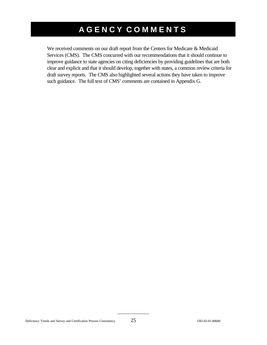# **AGENCY COMMENTS**

We received comments on our draft report from the Centers for Medicare & Medicaid Services (CMS). The CMS concurred with our recommendations that it should continue to improve guidance to state agencies on citing deficiencies by providing guidelines that are both clear and explicit and that it should develop, together with states, a common review criteria for draft survey reports. The CMS also highlighted several actions they have taken to improve such guidance. The full text of CMS' comments are contained in Appendix G.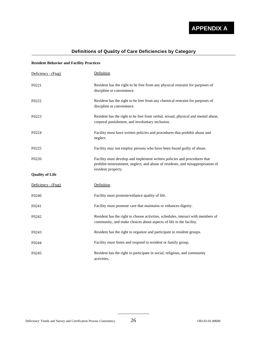

## **Definitions of Quality of Care Deficiencies by Category**

#### **Resident Behavior and Facility Practices**

| Deficiency - (Ftag)    | Definition                                                                                                                                                                       |
|------------------------|----------------------------------------------------------------------------------------------------------------------------------------------------------------------------------|
| F0221                  | Resident has the right to be free from any physical restraint for purposes of<br>discipline or convenience.                                                                      |
| F0222                  | Resident has the right to be free from any chemical restraint for purposes of<br>discipline or convenience.                                                                      |
| F0223                  | Resident has the right to be free from verbal, sexual, physical and mental abuse,<br>corporal punishment, and involuntary seclusion.                                             |
| F0224                  | Facility must have written policies and procedures that prohibit abuse and<br>neglect.                                                                                           |
| F0225                  | Facility may not employ persons who have been found guilty of abuse.                                                                                                             |
| F0226                  | Facility must develop and implement written policies and procedures that<br>prohibit mistreatment, neglect, and abuse of residents, and misappropriation of<br>resident property |
| <b>Quality of Life</b> |                                                                                                                                                                                  |
| Deficiency - (Ftag)    | Definition                                                                                                                                                                       |
| F0240                  | Facility must promote/enhance quality of life.                                                                                                                                   |
| F0241                  | Facility must promote care that maintains or enhances dignity.                                                                                                                   |
| F0242                  | Resident has the right to choose activities, schedules, interact with members of<br>community, and make choices about aspects of life in the facility.                           |
| F0243                  | Resident has the right to organize and participate in resident groups.                                                                                                           |
| F0244                  | Facility must listen and respond to resident or family group.                                                                                                                    |
| F0245                  | Resident has the right to participate in social, religious, and community<br>activities.                                                                                         |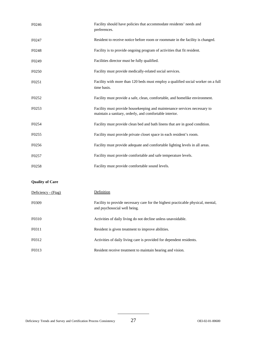| F0246             | Facility should have policies that accommodate residents' needs and<br>preferences.                                                 |
|-------------------|-------------------------------------------------------------------------------------------------------------------------------------|
| F0247             | Resident to receive notice before room or roommate in the facility is changed.                                                      |
| F0248             | Facility is to provide ongoing program of activities that fit resident.                                                             |
| F <sub>0249</sub> | Facilities director must be fully qualified.                                                                                        |
| F0250             | Facility must provide medically-related social services.                                                                            |
| F <sub>0251</sub> | Facility with more than 120 beds must employ a qualified social worker on a full<br>time basis.                                     |
| F0252             | Facility must provide a safe, clean, comfortable, and homelike environment.                                                         |
| F0253             | Facility must provide housekeeping and maintenance services necessary to<br>maintain a sanitary, orderly, and comfortable interior. |
| F0254             | Facility must provide clean bed and bath linens that are in good condition.                                                         |
| F0255             | Facility must provide private closet space in each resident's room.                                                                 |
| F0256             | Facility must provide adequate and comfortable lighting levels in all areas.                                                        |
| F0257             | Facility must provide comfortable and safe temperature levels.                                                                      |
| F0258             | Facility must provide comfortable sound levels.                                                                                     |

#### **Quality of Care**

| Deficiency - (Ftag) | Definition                                                                                                       |
|---------------------|------------------------------------------------------------------------------------------------------------------|
| F0309               | Facility to provide necessary care for the highest practicable physical, mental,<br>and psychosocial well being. |
| F0310               | Activities of daily living do not decline unless unavoidable.                                                    |
| F0311               | Resident is given treatment to improve abilities.                                                                |
| F0312               | Activities of daily living care is provided for dependent residents.                                             |
| F0313               | Resident receive treatment to maintain hearing and vision.                                                       |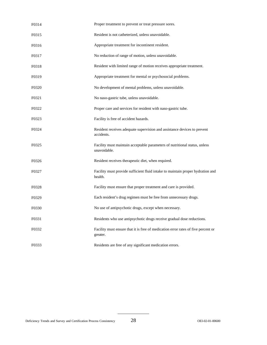| F0314 | Proper treatment to prevent or treat pressure sores.                                          |
|-------|-----------------------------------------------------------------------------------------------|
| F0315 | Resident is not catheterized, unless unavoidable.                                             |
| F0316 | Appropriate treatment for incontinent resident.                                               |
| F0317 | No reduction of range of motion, unless unavoidable.                                          |
| F0318 | Resident with limited range of motion receives appropriate treatment.                         |
| F0319 | Appropriate treatment for mental or psychosocial problems.                                    |
| F0320 | No development of mental problems, unless unavoidable.                                        |
| F0321 | No naso-gastric tube, unless unavoidable.                                                     |
| F0322 | Proper care and services for resident with naso-gastric tube.                                 |
| F0323 | Facility is free of accident hazards.                                                         |
| F0324 | Resident receives adequate supervision and assistance devices to prevent<br>accidents.        |
| F0325 | Facility must maintain acceptable parameters of nutritional status, unless<br>unavoidable.    |
| F0326 | Resident receives therapeutic diet, when required.                                            |
| F0327 | Facility must provide sufficient fluid intake to maintain proper hydration and<br>health.     |
| F0328 | Facility must ensure that proper treatment and care is provided.                              |
| F0329 | Each resident's drug regimen must be free from unnecessary drugs.                             |
| F0330 | No use of antipsychotic drugs, except when necessary.                                         |
| F0331 | Residents who use antipsychotic drugs receive gradual dose reductions.                        |
| F0332 | Facility must ensure that it is free of medication error rates of five percent or<br>greater. |
| F0333 | Residents are free of any significant medication errors.                                      |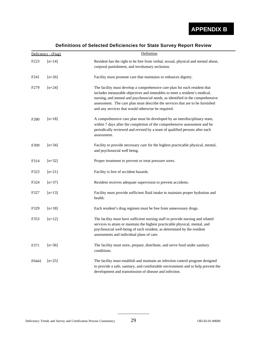**APPENDIX B** 

|  | Definitions of Selected Deficiencies for State Survey Report Review |  |  |
|--|---------------------------------------------------------------------|--|--|
|  |                                                                     |  |  |

|                  | Definition<br>Deficiency - (Ftag) |                                                                                                                                                                                                                                                                                                                                                                                    |  |  |
|------------------|-----------------------------------|------------------------------------------------------------------------------------------------------------------------------------------------------------------------------------------------------------------------------------------------------------------------------------------------------------------------------------------------------------------------------------|--|--|
| F <sub>223</sub> | $[n=14]$                          | Resident has the right to be free from verbal, sexual, physical and mental abuse,<br>corporal punishment, and involuntary seclusion.                                                                                                                                                                                                                                               |  |  |
| F241             | $[n=26]$                          | Facility must promote care that maintains or enhances dignity.                                                                                                                                                                                                                                                                                                                     |  |  |
| F <sub>279</sub> | $[n=24]$                          | The facility must develop a comprehensive care plan for each resident that<br>includes measurable objectives and timetables to meet a resident's medical,<br>nursing, and mental and psychosocial needs, as identified in the comprehensive<br>assessment. The care plan must describe the services that are to be furnished<br>and any services that would otherwise be required. |  |  |
| F <sub>280</sub> | $[n=18]$                          | A comprehensive care plan must be developed by an interdisciplinary team,<br>within 7 days after the completion of the comprehensive assessment and be<br>periodically reviewed and revised by a team of qualified persons after each<br>assessment.                                                                                                                               |  |  |
| F309             | $[n=34]$                          | Facility to provide necessary care for the highest practicable physical, mental,<br>and psychosocial well being.                                                                                                                                                                                                                                                                   |  |  |
| F314             | $[n=32]$                          | Proper treatment to prevent or treat pressure sores.                                                                                                                                                                                                                                                                                                                               |  |  |
| F323             | $[n=21]$                          | Facility is free of accident hazards.                                                                                                                                                                                                                                                                                                                                              |  |  |
| F324             | $[n=37]$                          | Resident receives adequate supervision to prevent accidents.                                                                                                                                                                                                                                                                                                                       |  |  |
| F327             | $[n=13]$                          | Facility must provide sufficient fluid intake to maintain proper hydration and<br>health.                                                                                                                                                                                                                                                                                          |  |  |
| F329             | $[n=18]$                          | Each resident's drug regimen must be free from unnecessary drugs.                                                                                                                                                                                                                                                                                                                  |  |  |
| F353             | $[n=12]$                          | The facility must have sufficient nursing staff to provide nursing and related<br>services to attain or maintain the highest practicable physical, mental, and<br>psychosocial well-being of each resident, as determined by the resident<br>assessments and individual plans of care.                                                                                             |  |  |
| F371             | $[n=36]$                          | The facility must store, prepare, distribute, and serve food under sanitary<br>conditions.                                                                                                                                                                                                                                                                                         |  |  |
| F0441            | $[n=25]$                          | The facility must establish and maintain an infection control program designed<br>to provide a safe, sanitary, and comfortable environment and to help prevent the<br>development and transmission of disease and infection.                                                                                                                                                       |  |  |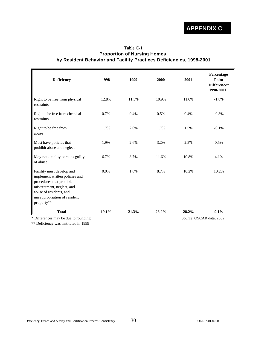### Table C-1 **Proportion of Nursing Homes by Resident Behavior and Facility Practices Deficiencies, 1998-2001**

| Deficiency                                                                                                                                                                                     | 1998  | 1999  | 2000  | 2001  | Percentage<br>Point<br>Difference*<br>1998-2001 |
|------------------------------------------------------------------------------------------------------------------------------------------------------------------------------------------------|-------|-------|-------|-------|-------------------------------------------------|
| Right to be free from physical<br>restraints                                                                                                                                                   | 12.8% | 11.5% | 10.9% | 11.0% | $-1.8%$                                         |
| Right to be free from chemical<br>restraints                                                                                                                                                   | 0.7%  | 0.4%  | 0.5%  | 0.4%  | $-0.3%$                                         |
| Right to be free from<br>abuse                                                                                                                                                                 | 1.7%  | 2.0%  | 1.7%  | 1.5%  | $-0.1%$                                         |
| Must have policies that<br>prohibit abuse and neglect                                                                                                                                          | 1.9%  | 2.6%  | 3.2%  | 2.5%  | 0.5%                                            |
| May not employ persons guilty<br>of abuse                                                                                                                                                      | 6.7%  | 8.7%  | 11.6% | 10.8% | 4.1%                                            |
| Facility must develop and<br>implement written policies and<br>procedures that prohibit<br>mistreatment, neglect, and<br>abuse of residents, and<br>misappropriation of resident<br>property** | 0.0%  | 1.6%  | 8.7%  | 10.2% | 10.2%                                           |
| <b>Total</b>                                                                                                                                                                                   | 19.1% | 21.3% | 28.0% | 28.2% | 9.1%                                            |
| * Differences may be due to rounding                                                                                                                                                           |       |       |       |       | Source: OSCAR data, 2002                        |

\*\* Deficiency was instituted in 1999

Deficiency Trends and Survey and Certification Process Consistency 30 OEI-02-01-00600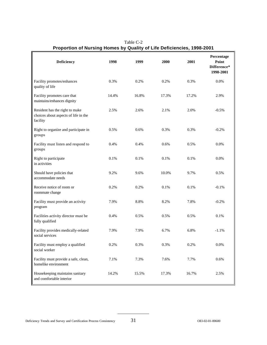| Deficiency                                                                         | 1998  | 1999  | 2000  | 2001  | Percentage<br>Point<br>Difference*<br>1998-2001 |
|------------------------------------------------------------------------------------|-------|-------|-------|-------|-------------------------------------------------|
| Facility promotes/enhances<br>quality of life                                      | 0.3%  | 0.2%  | 0.2%  | 0.3%  | 0.0%                                            |
| Facility promotes care that<br>maintains/enhances dignity                          | 14.4% | 16.8% | 17.3% | 17.2% | 2.9%                                            |
| Resident has the right to make<br>choices about aspects of life in the<br>facility | 2.5%  | 2.6%  | 2.1%  | 2.0%  | $-0.5%$                                         |
| Right to organize and participate in<br>groups                                     | 0.5%  | 0.6%  | 0.3%  | 0.3%  | $-0.2%$                                         |
| Facility must listen and respond to<br>groups                                      | 0.4%  | 0.4%  | 0.6%  | 0.5%  | 0.0%                                            |
| Right to participate<br>in activities                                              | 0.1%  | 0.1%  | 0.1%  | 0.1%  | 0.0%                                            |
| Should have policies that<br>accommodate needs                                     | 9.2%  | 9.6%  | 10.0% | 9.7%  | 0.5%                                            |
| Receive notice of room or<br>roommate change                                       | 0.2%  | 0.2%  | 0.1%  | 0.1%  | $-0.1%$                                         |
| Facility must provide an activity<br>program                                       | 7.9%  | 8.8%  | 8.2%  | 7.8%  | $-0.2%$                                         |
| Facilities activity director must be<br>fully qualified                            | 0.4%  | 0.5%  | 0.5%  | 0.5%  | 0.1%                                            |
| Facility provides medically-related<br>social services                             | 7.9%  | 7.9%  | 6.7%  | 6.8%  | $-1.1%$                                         |
| Facility must employ a qualified<br>social worker                                  | 0.2%  | 0.3%  | 0.3%  | 0.2%  | 0.0%                                            |
| Facility must provide a safe, clean,<br>homelike environment                       | 7.1%  | 7.3%  | 7.6%  | 7.7%  | 0.6%                                            |
| Housekeeping maintains sanitary<br>and comfortable interior                        | 14.2% | 15.5% | 17.3% | 16.7% | 2.5%                                            |

Table C-2 **Proportion of Nursing Homes by Quality of Life Deficiencies, 1998-2001**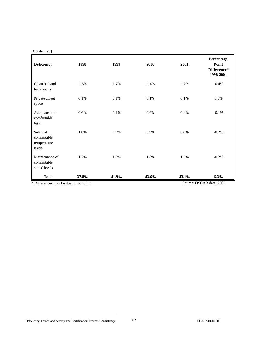#### **(Continued)**

| <b>Deficiency</b>                                | 1998  | 1999  | 2000  | 2001                     | Percentage<br>Point<br>Difference*<br>1998-2001 |
|--------------------------------------------------|-------|-------|-------|--------------------------|-------------------------------------------------|
| Clean bed and<br>bath linens                     | 1.6%  | 1.7%  | 1.4%  | 1.2%                     | $-0.4%$                                         |
| Private closet<br>space                          | 0.1%  | 0.1%  | 0.1%  | 0.1%                     | 0.0%                                            |
| Adequate and<br>comfortable<br>light             | 0.6%  | 0.4%  | 0.6%  | 0.4%                     | $-0.1%$                                         |
| Safe and<br>comfortable<br>temperature<br>levels | 1.0%  | 0.9%  | 0.9%  | 0.8%                     | $-0.2%$                                         |
| Maintenance of<br>comfortable<br>sound levels    | 1.7%  | 1.8%  | 1.8%  | 1.5%                     | $-0.2%$                                         |
| <b>Total</b>                                     | 37.8% | 41.9% | 43.6% | 43.1%                    | 5.3%                                            |
| * Differences may be due to rounding             |       |       |       | Source: OSCAR data, 2002 |                                                 |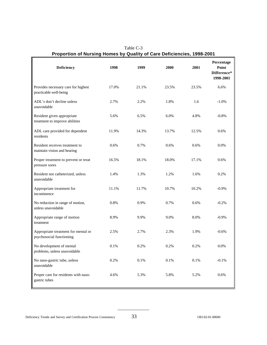| Deficiency                                                      | 1998  | 1999    | 2000  | 2001  | Percentage<br>Point<br>Difference*<br>1998-2001 |
|-----------------------------------------------------------------|-------|---------|-------|-------|-------------------------------------------------|
| Provides necessary care for highest<br>practicable well-being   | 17.0% | 21.1%   | 23.5% | 23.5% | 6.6%                                            |
| ADL's don't decline unless<br>unavoidable                       | 2.7%  | 2.2%    | 1.8%  | 1.6   | $-1.0\%$                                        |
| Resident given appropriate<br>treatment to improve abilities    | 5.6%  | 6.5%    | 6.0%  | 4.8%  | $-0.8%$                                         |
| ADL care provided for dependent<br>residents                    | 11.9% | 14.3%   | 13.7% | 12.5% | 0.6%                                            |
| Resident receives treatment to<br>maintain vision and hearing   | 0.6%  | 0.7%    | 0.6%  | 0.6%  | 0.0%                                            |
| Proper treatment to prevent or treat<br>pressure sores          | 16.5% | 18.1%   | 18.0% | 17.1% | 0.6%                                            |
| Resident not catheterized, unless<br>unavoidable                | 1.4%  | 1.3%    | 1.2%  | 1.6%  | 0.2%                                            |
| Appropriate treatment for<br>incontinence                       | 11.1% | 11.7%   | 10.7% | 10.2% | $-0.9%$                                         |
| No reduction in range of motion,<br>unless unavoidable          | 0.8%  | 0.9%    | 0.7%  | 0.6%  | $-0.2%$                                         |
| Appropriate range of motion<br>treatment                        | 8.9%  | 9.9%    | 9.0%  | 8.0%  | $-0.9%$                                         |
| Appropriate treatment for mental or<br>psychosocial functioning | 2.5%  | 2.7%    | 2.3%  | 1.9%  | $-0.6%$                                         |
| No development of mental<br>problems, unless unavoidable        | 0.1%  | 0.2%    | 0.2%  | 0.2%  | 0.0%                                            |
| No naso-gastric tube, unless<br>unavoidable                     | 0.2%  | $0.1\%$ | 0.1%  | 0.1%  | $-0.1%$                                         |
| Proper care for residents with naso-<br>gastric tubes           | 4.6%  | 5.3%    | 5.8%  | 5.2%  | 0.6%                                            |

Table C-3 **Proportion of Nursing Homes by Quality of Care Deficiencies, 1998-2001**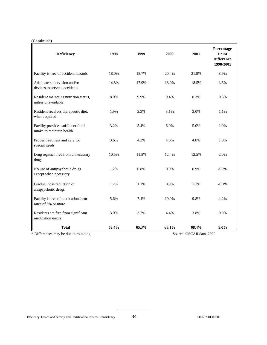#### **(Continued)**

| Deficiency                                                      | 1998  | 1999  | 2000  | 2001  | Percentage<br>Point<br><b>Difference</b><br>1998-2001 |
|-----------------------------------------------------------------|-------|-------|-------|-------|-------------------------------------------------------|
| Facility is free of accident hazards                            | 18.0% | 18.7% | 20.4% | 21.9% | 3.9%                                                  |
| Adequate supervision and/or<br>devices to prevent accidents     | 14.8% | 17.9% | 18.0% | 18.5% | 3.6%                                                  |
| Resident maintains nutrition status,<br>unless unavoidable      | 8.0%  | 9.9%  | 9.4%  | 8.3%  | 0.3%                                                  |
| Resident receives therapeutic diet,<br>when required            | 1.9%  | 2.3%  | 3.1%  | 3.0%  | 1.1%                                                  |
| Facility provides sufficient fluid<br>intake to maintain health | 3.2%  | 5.4%  | 6.0%  | 5.0%  | 1.9%                                                  |
| Proper treatment and care for<br>special needs                  | 3.6%  | 4.3%  | 4.6%  | 4.6%  | 1.0%                                                  |
| Drug regimen free from unnecessary<br>drugs                     | 10.5% | 11.8% | 12.4% | 12.5% | 2.0%                                                  |
| No use of antipsychotic drugs<br>except when necessary          | 1.2%  | 0.8%  | 0.9%  | 0.9%  | $-0.3%$                                               |
| Gradual dose reduction of<br>antipsychotic drugs                | 1.2%  | 1.1%  | 0.9%  | 1.1%  | $-0.1%$                                               |
| Facility is free of medication error<br>rates of 5% or more     | 5.6%  | 7.4%  | 10.0% | 9.8%  | 4.2%                                                  |
| Residents are free from significant<br>medication errors        | 3.0%  | 3.7%  | 4.4%  | 3.8%  | 0.9%                                                  |
| <b>Total</b>                                                    | 59.4% | 65.3% | 68.1% | 68.4% | $9.0\%$                                               |

\* Differences may be due to rounding Source: OSCAR data, 2002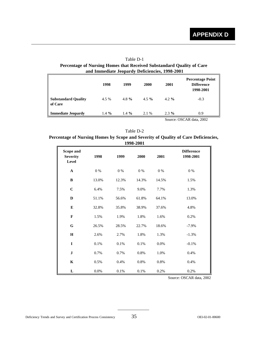### Table D-1 **Percentage of Nursing Homes that Received Substandard Quality of Care and Immediate Jeopardy Deficiencies, 1998-2001**

|                                       | 1998     | 1999     | 2000     | 2001              | <b>Percentage Point</b><br><b>Difference</b><br>1998-2001 |
|---------------------------------------|----------|----------|----------|-------------------|-----------------------------------------------------------|
| <b>Substandard Quality</b><br>of Care | 4.5 %    | 4.8 $%$  | $4.5 \%$ | $4.2 \frac{9}{6}$ | $-0.3$                                                    |
| <b>Immediate Jeopardy</b>             | $1.4 \%$ | $1.4 \%$ | 2.1 %    | $2.3\%$           | 0.9                                                       |

Source: OSCAR data, 2002

#### Table D-2

### **Percentage of Nursing Homes by Scope and Severity of Quality of Care Deficiencies, 1998-2001**

| Scope and<br><b>Severity</b><br>Level | 1998  | 1999  | 2000    | 2001  | <b>Difference</b><br>1998-2001 |
|---------------------------------------|-------|-------|---------|-------|--------------------------------|
| $\mathbf{A}$                          | $0\%$ | $0\%$ | $0\%$   | 0 %   | $0\%$                          |
| B                                     | 13.0% | 12.3% | 14.3%   | 14.5% | 1.5%                           |
| $\mathbf C$                           | 6.4%  | 7.5%  | 9.0%    | 7.7%  | 1.3%                           |
| D                                     | 51.1% | 56.6% | 61.8%   | 64.1% | 13.0%                          |
| E                                     | 32.8% | 35.8% | 38.9%   | 37.6% | 4.8%                           |
| $\mathbf F$                           | 1.5%  | 1.9%  | 1.8%    | 1.6%  | 0.2%                           |
| ${\bf G}$                             | 26.5% | 28.5% | 22.7%   | 18.6% | $-7.9\%$                       |
| $\mathbf H$                           | 2.6%  | 2.7%  | 1.8%    | 1.3%  | $-1.3%$                        |
| $\mathbf I$                           | 0.1%  | 0.1%  | $0.1\%$ | 0.0%  | $-0.1%$                        |
| ${\bf J}$                             | 0.7%  | 0.7%  | 0.8%    | 1.0%  | 0.4%                           |
| $\mathbf K$                           | 0.5%  | 0.4%  | 0.8%    | 0.8%  | 0.4%                           |
| ${\bf L}$                             | 0.0%  | 0.1%  | 0.1%    | 0.2%  | 0.2%                           |

Source: OSCAR data, 2002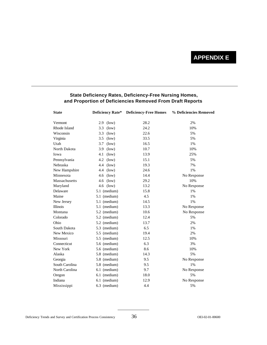## **APPENDIX E**

| <b>State</b>    | Deficiency Rate* | <b>Deficiency-Free Homes</b> | % Deficiencies Removed |
|-----------------|------------------|------------------------------|------------------------|
| Vermont         | 2.9<br>(low)     | 28.2                         | 2%                     |
| Rhode Island    | 3.3<br>(low)     | 24.2                         | 10%                    |
| Wisconsin       | 3.3<br>(low)     | 22.6                         | 5%                     |
| Virginia        | 3.5<br>(low)     | 33.5                         | 5%                     |
| Utah            | 3.7<br>(low)     | 16.5                         | 1%                     |
| North Dakota    | 3.9<br>(low)     | 10.7                         | 10%                    |
| Iowa            | 4.1<br>(low)     | 13.9                         | 25%                    |
| Pennsylvania    | 4.2<br>(low)     | 15.1                         | 5%                     |
| Nebraska        | 4.4<br>(low)     | 19.3                         | 7%                     |
| New Hampshire   | (low)<br>4.4     | 24.6                         | 1%                     |
| Minnesota       | 4.6<br>(low)     | 14.4                         | No Response            |
| Massachusetts   | (low)<br>4.6     | 29.2                         | 10%                    |
| Maryland        | 4.6<br>(low)     | 13.2                         | No Response            |
| Delaware        | 5.1 (medium)     | 15.8                         | 1%                     |
| Maine           | 5.1 (medium)     | 4.5                          | 1%                     |
| New Jersey      | 5.1 (medium)     | 14.5                         | 1%                     |
| <b>Illinois</b> | 5.1 (medium)     | 13.3                         | No Response            |
| Montana         | 5.2 (medium)     | 10.6                         | No Response            |
| Colorado        | 5.2 (medium)     | 12.4                         | 5%                     |
| Ohio            | 5.2 (medium)     | 13.7                         | 2%                     |
| South Dakota    | 5.3 (medium)     | 6.5                          | 1%                     |
| New Mexico      | 5.5 (medium)     | 19.4                         | 2%                     |
| Missouri        | 5.5 (medium)     | 12.5                         | 10%                    |
| Connecticut     | 5.6 (medium)     | 6.3                          | 3%                     |
| New York        | 5.6 (medium)     | 8.6                          | 10%                    |
| Alaska          | 5.8 (medium)     | 14.3                         | 5%                     |
| Georgia         | 5.8 (medium)     | 9.5                          | No Response            |
| South Carolina  | 5.8 (medium)     | 9.5                          | 1%                     |
| North Carolina  | 6.1 (medium)     | 9.7                          | No Response            |
| Oregon          | 6.1 (medium)     | 18.0                         | 5%                     |
| Indiana         | 6.1 (medium)     | 12.9                         | No Response            |
| Mississippi     | 6.3 (medium)     | 4.4                          | 5%                     |

### **State Deficiency Rates, Deficiency-Free Nursing Homes, and Proportion of Deficiencies Removed From Draft Reports**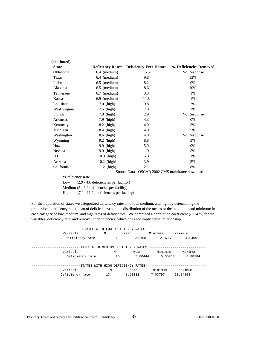| (continued)   |                         |                                                 |                        |
|---------------|-------------------------|-------------------------------------------------|------------------------|
| <b>State</b>  | <b>Deficiency Rate*</b> | <b>Deficiency-Free Homes</b>                    | % Deficiencies Removed |
| Oklahoma      | 6.4 (medium)            | 15.5                                            | No Response            |
| Texas         | 6.4 (medium)            | 9.8                                             | 12%                    |
| Idaho         | 6.5 (medium)            | 8.2                                             | 0%                     |
| Alabama       | $6.5$ (medium)          | 8.6                                             | 10%                    |
| Tennessee     | 6.7 (medium)            | 3.3                                             | 1%                     |
| Kansas        | 6.9 (medium)            | 11.8                                            | 1%                     |
| Louisiana     | 7.0 (high)              | 9.8                                             | 2%                     |
| West Virginia | $7.5$ (high)            | 7.0                                             | 2%                     |
| Florida       | 7.9 (high)              | 2.9                                             | No Response            |
| Arkansas      | 7.9 (high)              | 4.3                                             | 0%                     |
| Kentucky      | 8.2 (high)              | 4.0                                             | 5%                     |
| Michigan      | 8.4 (high)              | 4.0                                             | 5%                     |
| Washington    | 8.6 (high)              | 4.8                                             | No Response            |
| Wyoming       | 9.2 (high)              | 8.8                                             | 3%                     |
| Hawaii        | (high)<br>9.9           | 5.9                                             | 0%                     |
| Nevada        | 9.9 (high)              | $\overline{0}$                                  | 5%                     |
| D.C.          | 10.0 (high)             | 5.0                                             | 1%                     |
| Arizona       | 10.2 (high)             | 3.9                                             | 2%                     |
| California    | $11.2$ (high)           | 2.1                                             | 8%                     |
|               |                         | Source Data - OSCAR 2002 CMS mainframe download |                        |

#### **\***Deficiency Rate

Low (2.9 - 4.6 deficiencies per facility) Medium (5 - 6.9 deficiencies per facility) High (7.0 - 11.24 deficiencies per facility)

For the population of states we categorized deficiency rates into low, medium, and high by determining the proportional deficiency rate (mean of deficiencies) and the distribution of the means or the maximum and minimum in each category of low, medium, and high rates of deficiencies. We computed a correlation coefficient (-.22425) for the variables, deficiency rate, and removal of deficiencies, which does not imply causal relationship.

|                 | STATES WITH LOW DEFICIENCY RATES     |         |         |         | ---------------------------- |
|-----------------|--------------------------------------|---------|---------|---------|------------------------------|
| Variable        | N                                    | Mean    |         | Minimum | Maximum                      |
| Deficiency rate |                                      | 13      | 3.96158 | 2.87179 | 4.64091                      |
|                 |                                      |         |         |         |                              |
|                 | -STATES WITH MEDIUM DEFICIENCY RATES |         |         |         |                              |
| Variable        |                                      | N       | Mean    | Minimum | Maximum                      |
| Deficiency rate |                                      | 25      | 5.80444 | 5.05263 | 6.88184                      |
|                 |                                      |         |         |         |                              |
|                 | -STATES WITH HIGH DEFICIENCY RATES-  |         |         |         |                              |
| Variable        | N                                    | Mean    |         | Minimum | Maximum                      |
| Deficiency rate | 13                                   | 8.93332 |         | 7.03797 | 11.24108                     |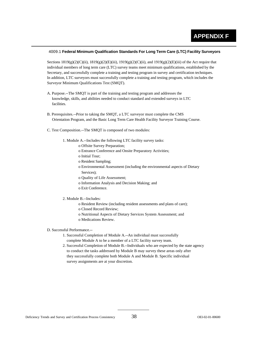#### 4009.1 **Federal Minimum Qualification Standards For Long Term Care (LTC) Facility Surveyors**

Sections  $1819(g)(2)(C)(ii)$ ,  $1819(g)(2)(E)(iii)$ ,  $1919(g)(2)(C)(ii)$ , and  $1919(g)(2)(E)(iii)$  of the Act require that individual members of long term care (LTC) survey teams meet minimum qualifications, established by the Secretary, and successfully complete a training and testing program in survey and certification techniques. In addition, LTC surveyors must successfully complete a training and testing program, which includes the Surveyor Minimum Qualifications Test (SMQT).

- A. Purpose.--The SMQT is part of the training and testing program and addresses the knowledge, skills, and abilities needed to conduct standard and extended surveys in LTC facilities.
- B. Prerequisites.--Prior to taking the SMQT, a LTC surveyor must complete the CMS Orientation Program, and the Basic Long Term Care Health Facility Surveyor Training Course.
- C. Test Composition.--The SMQT is composed of two modules:
	- 1. Module A.--Includes the following LTC facility survey tasks:
		- o Offsite Survey Preparation;
		- o Entrance Conference and Onsite Preparatory Activities;
		- o Initial Tour;
		- o Resident Sampling;
		- o Environmental Assessment (including the environmental aspects of Dietary Services);
		- o Quality of Life Assessment;
		- o Information Analysis and Decision Making; and
		- o Exit Conference.
	- 2. Module B.--Includes:
		- o Resident Review (including resident assessments and plans of care);
		- o Closed Record Review;
		- o Nutritional Aspects of Dietary Services System Assessment; and
		- o Medications Review.

#### D. Successful Performance.--

- 1. Successful Completion of Module A.--An individual must successfully complete Module A to be a member of a LTC facility survey team.
- 2. Successful Completion of Module B.--Individuals who are expected by the state agency to conduct the tasks addressed by Module B may survey these areas only after they successfully complete both Module A and Module B. Specific individual survey assignments are at your discretion.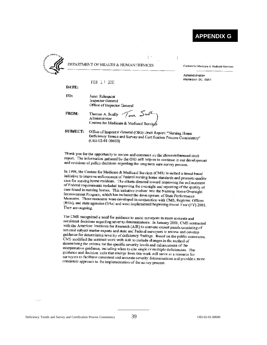## **APPENDIX G**



DEPARTMENT OF HEALTH & HUMAN SERVICES

Carters for Medicare & Medicald Services

**Administrator** Washington DC 20201

FEB 2 1 2003

DATE:

TO: Janet Rehnquist Inspector General Office of Inspector General

FROM:

Thomas A. Scully  $\sqrt{mn}$   $\sum_{n=0}^{\infty}$ <br>Administrator<br>Centers for Medicare & Medicaid Services

**SUBJECT:** Office of Inspector General (OIG) Draft Report: "Nursing Home Deficiency Trencs and Survey and Certification Process Consistency" (OEI-02-01-006C0)

Thank you for the opportunity to review and comment on the above-referenced draft<br>report. The information outlined by the CLO sill interest on the above-referenced draft report. The information gathered by the OIG will help us to continue in our development and revisions of policy decisions regarding the long term care survey process.

In 1998, the Centers for Medicare & Medicaid Services (CMS) la inched a broad based initiative to improve enforcement of Federal nursing home standards and promote quality care for nursing home residents. The efforts directed toward improving the enforcement of Federal requirements included improving the oversight and reporting of the quality of care found in nursing homes. This initiative evolved into the Nursing Home Oversight Improvement Program, which has included the developmen: of State Performance Measures. These measures were developed in conjunction with CMS, Regional Offices  $(ROs)$ , and state agencies  $(SAs)$  and were implemented heginning Fiscal Year  $(FY)$  2001. They are ougoing.

The CMS recognized a need for guidance to assist surveyors in more accurate and consistent decisions regarding severity determinations. In January 2001, CMS contracted with the American Institutes for Research (AIR) to convene expert panels consisting of national subject matter experts and state and Federal surveyors to review and develop guidance for determining severity of deficiency findings. Based on the public comments, CMS modified the contract work with AIR to include changes in the method of determining the criteria for the specific severity levels and enhancement of the interpretative guidance, including when to cite single or multiple deficiencies. The guidance and decision tools that emerge from this work will serve as a resource for surveyors to facilitate consistent and accurate severity determinations and provide a more consistent approach to the implementation of the survey process.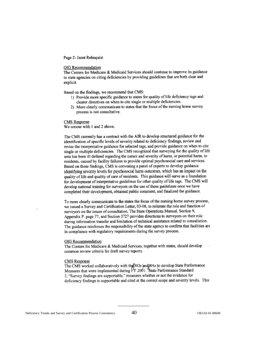#### Page 2- Janet Rehnquist

#### OIG Recommendation

The Centers for Medicare & Medicaid Services should continue to improve its guidance to state agencies on citing deficiencies by providing guidelines that are both clear and explicit.

Based on the findings, we recommend that CMS:

- 1) Provide more specific guidance to states for quality of life deficiency tags and clearer directives on when to cite single or multiple deficiencies.
- 2) More clearly communicate to states that the focus of the nursing home survey process is not consultative.

#### **CMS** Response

We concur with 1 and 2 above.

The CMS currently has a contract with the AIR to develop structured guidance for the identification of specific levels of severity related to deficiency findings, review and revise the interpretative guidance for selected tags, and provide guidance on when to cite single or multiple deficiencies. The CMS recognized that surveying for the quality of life area has been ill defined regarding the nature and severity of harm, or potential harm, to residents, caused by facility failures to provide optimal psychosocial care and services. Based on these findings, CMS is convening a panel of experts to develop guidance identifying severity levels for psychosocial harm outcomes, which has an impact on the quality of life and quality of care of residents. This guidance will serve as a foundation for development of interpretative guidelines for other quality of life tags. The CMS will develop national training for surveyors on the use of these guidelines once we have completed their development, obtained public comment, and finalized the guidance.

To more clearly communicate to the states the focus of the nursing home survey process, we issued a Survey and Certification Letter, 03-08, to reiterate the role and function of surveyors on the issues of consultation. The State Operations Manual, Section 9, Appendix P. page 77, and Section 3727 provides directions to surveyors on their role during information transfer and limitation of technical assistance related to consultation. The guidance reinforces the responsibility of the state agency to confirm that facilities are in compliance with regulatory requirements during the survey process.

#### OIG Recommendation

The Centers for Medicare & Medicaid Services, together with states, should develop common review criteria for draft survey reports.

#### CMS Response

The CMS worked collaboratively with the ROs and SAs to develop State Performance Measures that were implemented during FY 2001. 'State Performance Standard 2. "Survey findings are supportable," measures whether or not the evidence for deficiency findings is supportable and cited at the correct scope and severity levels. This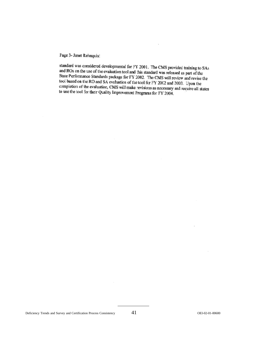Page 3- Janet Rehnquis:

standard was considered developmental for FY 2001. The CMS provided training to SAs and ROs on the use of the evaluation tool and this standard was released as part of the State Performance Standards package for FY 2002. The CMS will review and revise the<br>fool based on the PO and S A contention of the CMS will review and revise the tool based on the RO and SA evaluation of the tool for FY 2002 and 2003. Upon the completion of the evaluation, CMS will make revisions as necessary and require all states<br>to use the tool for their Quality Improperation. to use the tool for their Quality Improvement Programs for FY 2004.